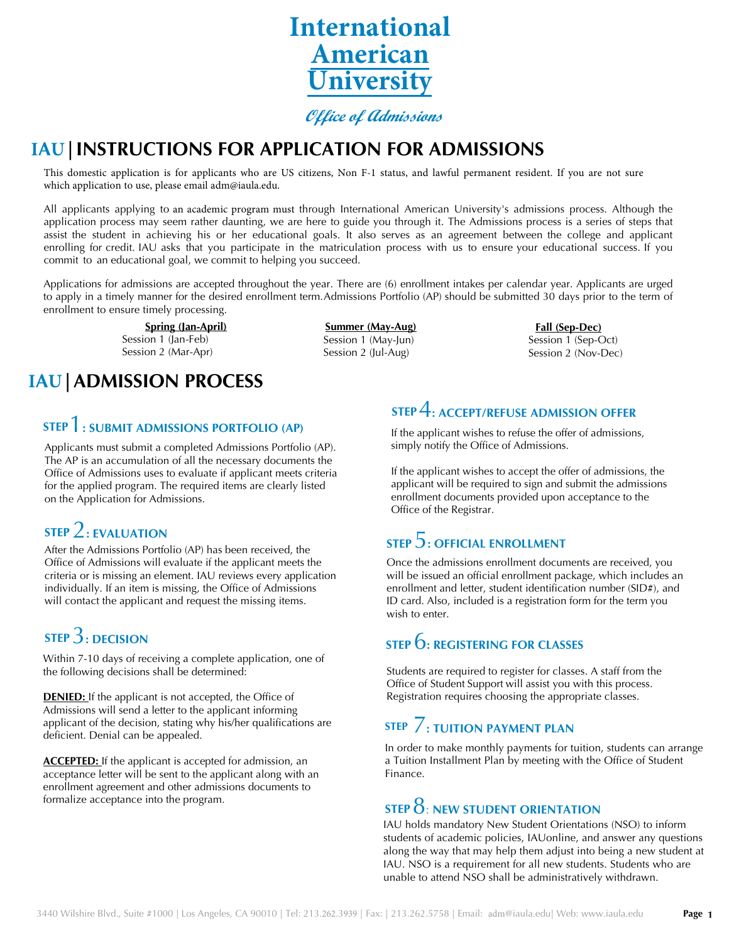

**Office of Admissions**

### **IAU|INSTRUCTIONS FOR APPLICATION FOR ADMISSIONS**

This domestic application is for applicants who are US citizens, Non F-1 status, and lawful permanent resident. If you are not sure which application to use, please email adm@iaula.edu.

All applicants applying to an academic program must through International American University's admissions process. Although the application process may seem rather daunting, we are here to guide you through it. The Admissions process is a series of steps that assist the student in achieving his or her educational goals. It also serves as an agreement between the college and applicant enrolling for credit. IAU asks that you participate in the matriculation process with us to ensure your educational success. If you commit to an educational goal, we commit to helping you succeed.

Applications for admissions are accepted throughout the year. There are (6) enrollment intakes per calendar year. Applicants are urged to apply in a timely manner for the desired enrollment term.Admissions Portfolio (AP) should be submitted 30 days prior to the term of enrollment to ensure timely processing.

> **Spring (Jan-April)** Session 1 (Jan-Feb) Session 2 (Mar-Apr)

**IAU|ADMISSION PROCESS**

#### **STEP** 1**: SUBMIT ADMISSIONS PORTFOLIO (AP)**

Applicants must submit a completed Admissions Portfolio (AP). The AP is an accumulation of all the necessary documents the Office of Admissions uses to evaluate if applicant meets criteria for the applied program. The required items are clearly listed on the Application for Admissions.

#### **STEP** 2**: EVALUATION**

After the Admissions Portfolio (AP) has been received, the Office of Admissions will evaluate if the applicant meets the criteria or is missing an element. IAU reviews every application individually. If an item is missing, the Office of Admissions will contact the applicant and request the missing items.

### **STEP** 3**: DECISION**

Within 7-10 days of receiving a complete application, one of the following decisions shall be determined:

**DENIED:** If the applicant is not accepted, the Office of Admissions will send a letter to the applicant informing applicant of the decision, stating why his/her qualifications are deficient. Denial can be appealed.

**ACCEPTED:** If the applicant is accepted for admission, an acceptance letter will be sent to the applicant along with an enrollment agreement and other admissions documents to formalize acceptance into the program.

**Summer (May-Aug)** Session 1 (May-Jun) Session 2 (Jul-Aug)

**Fall (Sep-Dec)** Session 1 (Sep-Oct) Session 2 (Nov-Dec)

### **STEP** 4**: ACCEPT/REFUSE ADMISSION OFFER**

If the applicant wishes to refuse the offer of admissions, simply notify the Office of Admissions.

If the applicant wishes to accept the offer of admissions, the applicant will be required to sign and submit the admissions enrollment documents provided upon acceptance to the Office of the Registrar.

#### **STEP** 5**: OFFICIAL ENROLLMENT**

Once the admissions enrollment documents are received, you will be issued an official enrollment package, which includes an enrollment and letter, student identification number (SID#), and ID card. Also, included is a registration form for the term you wish to enter.

### **STEP** 6**: REGISTERING FOR CLASSES**

Students are required to register for classes. A staff from the Office of Student Support will assist you with this process. Registration requires choosing the appropriate classes.

#### **STEP** 7**: TUITION PAYMENT PLAN**

In order to make monthly payments for tuition, students can arrange a Tuition Installment Plan by meeting with the Office of Student Finance.

### **STEP** 8: **NEW STUDENT ORIENTATION**

IAU holds mandatory New Student Orientations (NSO) to inform students of academic policies, IAUonline, and answer any questions along the way that may help them adjust into being a new student at IAU. NSO is a requirement for all new students. Students who are unable to attend NSO shall be administratively withdrawn.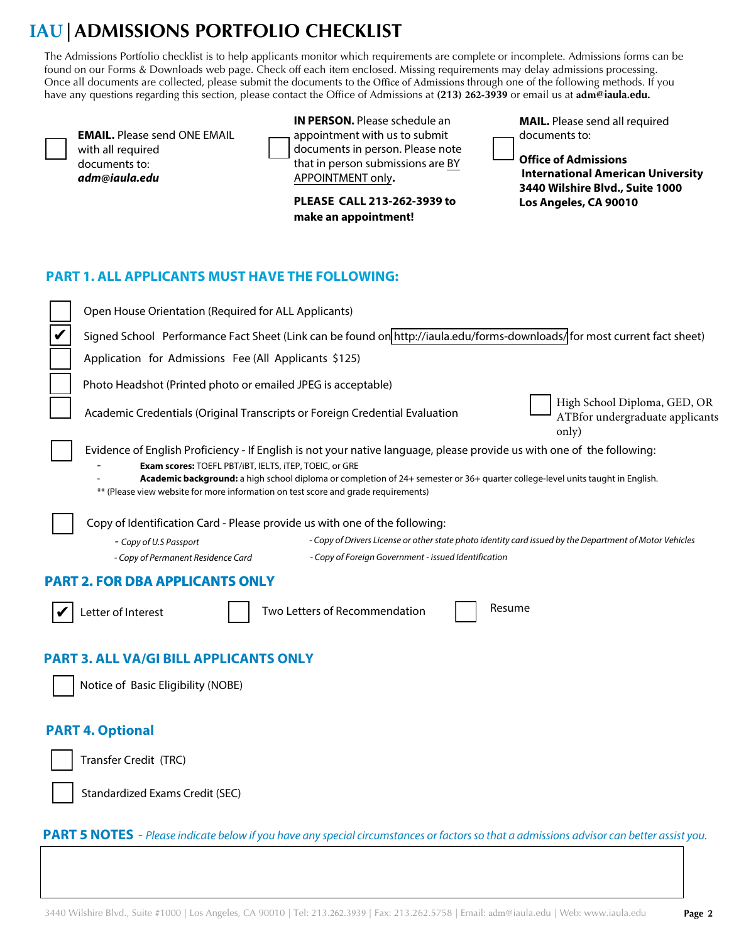# **IAU|ADMISSIONS PORTFOLIO CHECKLIST**

The Admissions Portfolio checklist is to help applicants monitor which requirements are complete or incomplete. Admissions forms can be found on our Forms & Downloads web page. Check off each item enclosed. Missing requirements may delay admissions processing. Once all documents are collected, please submit the documents to the Office of Admissions through one of the following methods. If you have any questions regarding this section, please contact the Office of Admissions at **(213) 262-3939** or email us at **adm[@iaula](mailto:admissions@iau.la).edu.**

**EMAIL.** Please send ONE EMAIL with all required documents to: **adm***@iau***[la.ed](mailto:ADMISSIONS@iau.LA)u**

**IN PERSON.** Please schedule an appointment with us to submit documents in person. Please note that in person submissions are BY APPOINTMENT only**.**

**PLEASE CALL 213-262-3939 to make an appointment!**

**MAIL.** Please send all required documents to:

**Office of Admissions International American University 3440 Wilshire Blvd., Suite 1000 Los Angeles, CA 90010**

#### **PART 1. ALL APPLICANTS MUST HAVE THE FOLLOWING:**

| Open House Orientation (Required for ALL Applicants)                                                                                                                                                                                                                                                                                                                                                     |  |  |  |  |
|----------------------------------------------------------------------------------------------------------------------------------------------------------------------------------------------------------------------------------------------------------------------------------------------------------------------------------------------------------------------------------------------------------|--|--|--|--|
| Signed School Performance Fact Sheet (Link can be found on http://iaula.edu/forms-downloads/for most current fact sheet)                                                                                                                                                                                                                                                                                 |  |  |  |  |
| Application for Admissions Fee (All Applicants \$125)                                                                                                                                                                                                                                                                                                                                                    |  |  |  |  |
| Photo Headshot (Printed photo or emailed JPEG is acceptable)                                                                                                                                                                                                                                                                                                                                             |  |  |  |  |
| High School Diploma, GED, OR<br>Academic Credentials (Original Transcripts or Foreign Credential Evaluation<br>ATBfor undergraduate applicants<br>only)                                                                                                                                                                                                                                                  |  |  |  |  |
| Evidence of English Proficiency - If English is not your native language, please provide us with one of the following:<br>Exam scores: TOEFL PBT/iBT, IELTS, ITEP, TOEIC, or GRE<br>Academic background: a high school diploma or completion of 24+ semester or 36+ quarter college-level units taught in English.<br>** (Please view website for more information on test score and grade requirements) |  |  |  |  |
| Copy of Identification Card - Please provide us with one of the following:<br>- Copy of Drivers License or other state photo identity card issued by the Department of Motor Vehicles<br>- Copy of U.S Passport<br>- Copy of Foreign Government - issued Identification<br>- Copy of Permanent Residence Card                                                                                            |  |  |  |  |
| <b>PART 2. FOR DBA APPLICANTS ONLY</b>                                                                                                                                                                                                                                                                                                                                                                   |  |  |  |  |
| Resume<br>Two Letters of Recommendation<br>Letter of Interest                                                                                                                                                                                                                                                                                                                                            |  |  |  |  |
| <b>PART 3. ALL VA/GI BILL APPLICANTS ONLY</b>                                                                                                                                                                                                                                                                                                                                                            |  |  |  |  |
| Notice of Basic Eligibility (NOBE)                                                                                                                                                                                                                                                                                                                                                                       |  |  |  |  |
| <b>PART 4. Optional</b>                                                                                                                                                                                                                                                                                                                                                                                  |  |  |  |  |
| Transfer Credit (TRC)                                                                                                                                                                                                                                                                                                                                                                                    |  |  |  |  |
| <b>Standardized Exams Credit (SEC)</b>                                                                                                                                                                                                                                                                                                                                                                   |  |  |  |  |
| <b>PART 5 NOTES</b> - Please indicate below if you have any special circumstances or factors so that a admissions advisor can better assist you.                                                                                                                                                                                                                                                         |  |  |  |  |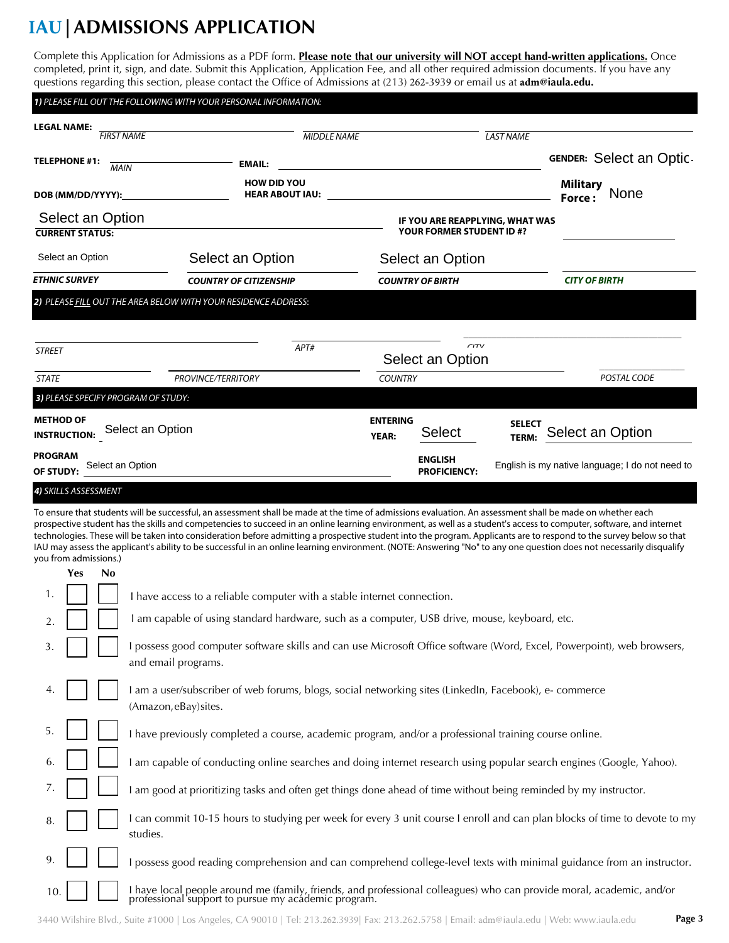# **IAU|ADMISSIONS APPLICATION**

Complete this Application for Admissions as a PDF form. **Please note that our university will NOT accept hand-written applications.** Once completed, print it, sign, and date. Submit this Application, Application Fee, and all other required admission documents. If you have any questions regarding this section, please contact the Office of Admissions at (213) 262-3939 or email us at **adm[@iaula](mailto:admissions@iau.la).edu.**

|                                                             | 1) PLEASE FILL OUT THE FOLLOWING WITH YOUR PERSONAL INFORMATION:       |                                                                                                                     |                                                 |
|-------------------------------------------------------------|------------------------------------------------------------------------|---------------------------------------------------------------------------------------------------------------------|-------------------------------------------------|
| <b>LEGAL NAME:</b><br><b>FIRST NAME</b>                     | <b>MIDDLE NAME</b>                                                     | <b>LAST NAME</b>                                                                                                    |                                                 |
| <b>TELEPHONE #1:</b><br><b>MAIN</b>                         | <b>EMAIL:</b>                                                          |                                                                                                                     | <b>GENDER: Select an Optic</b>                  |
| DOB (MM/DD/YYYY):                                           | <b>HOW DID YOU</b><br><b>HEAR ABOUT IAU:</b>                           | <u> 1989 - John Harry Harry Harry Harry Harry Harry Harry Harry Harry Harry Harry Harry Harry Harry Harry Harry</u> | <b>Military</b><br><b>None</b><br>Force:        |
| Select an Option                                            |                                                                        | IF YOU ARE REAPPLYING, WHAT WAS                                                                                     |                                                 |
| <b>CURRENT STATUS:</b>                                      |                                                                        | YOUR FORMER STUDENT ID #?                                                                                           |                                                 |
| Select an Option                                            | Select an Option                                                       | Select an Option                                                                                                    |                                                 |
| <b>ETHNIC SURVEY</b>                                        | <b>COUNTRY OF CITIZENSHIP</b>                                          | <b>COUNTRY OF BIRTH</b>                                                                                             | <b>CITY OF BIRTH</b>                            |
| <b>STREET</b>                                               | 2) PLEASE FILL OUT THE AREA BELOW WITH YOUR RESIDENCE ADDRESS:<br>APT# | CITV<br>Select an Option                                                                                            |                                                 |
| <b>STATE</b>                                                | <b>PROVINCE/TERRITORY</b>                                              | <b>COUNTRY</b>                                                                                                      | POSTAL CODE                                     |
| 3) PLEASE SPECIFY PROGRAM OF STUDY:                         |                                                                        |                                                                                                                     |                                                 |
| <b>METHOD OF</b><br>Select an Option<br><b>INSTRUCTION:</b> |                                                                        | <b>ENTERING</b><br><b>SELECT</b><br>Select<br><b>YEAR:</b><br>TERM:                                                 | Select an Option                                |
| <b>PROGRAM</b><br>Select an Option<br>OF STUDY:             |                                                                        | <b>ENGLISH</b><br><b>PROFICIENCY:</b>                                                                               | English is my native language; I do not need to |
| 4) SKILLS ASSESSMENT                                        |                                                                        |                                                                                                                     |                                                 |

To ensure that students will be successful, an assessment shall be made at the time of admissions evaluation. An assessment shall be made on whether each prospective student has the skills and competencies to succeed in an online learning environment, as well as a student's access to computer, software, and internet technologies. These will be taken into consideration before admitting a prospective student into the program. Applicants are to respond to the survey below so that IAU may assess the applicant's ability to be successful in an online learning environment. (NOTE: Answering "No" to any one question does not necessarily disqualify you from admissions.)

|     | Yes | N <sub>0</sub> |                                                                                                                                                                             |
|-----|-----|----------------|-----------------------------------------------------------------------------------------------------------------------------------------------------------------------------|
| 1.  |     |                | I have access to a reliable computer with a stable internet connection.                                                                                                     |
| 2.  |     |                | I am capable of using standard hardware, such as a computer, USB drive, mouse, keyboard, etc.                                                                               |
| 3.  |     |                | possess good computer software skills and can use Microsoft Office software (Word, Excel, Powerpoint), web browsers,<br>and email programs.                                 |
|     |     |                | I am a user/subscriber of web forums, blogs, social networking sites (LinkedIn, Facebook), e- commerce<br>(Amazon, eBay) sites.                                             |
| 5.  |     |                | I have previously completed a course, academic program, and/or a professional training course online.                                                                       |
| 6.  |     |                | am capable of conducting online searches and doing internet research using popular search engines (Google, Yahoo).                                                          |
| 7.  |     |                | I am good at prioritizing tasks and often get things done ahead of time without being reminded by my instructor.                                                            |
| 8.  |     |                | I can commit 10-15 hours to studying per week for every 3 unit course I enroll and can plan blocks of time to devote to my<br>studies.                                      |
|     |     |                | possess good reading comprehension and can comprehend college-level texts with minimal guidance from an instructor.                                                         |
| 10. |     |                | I have local people around me (family, friends, and professional colleagues) who can provide moral, academic, and/or<br>professional support to pursue my acádemic program. |